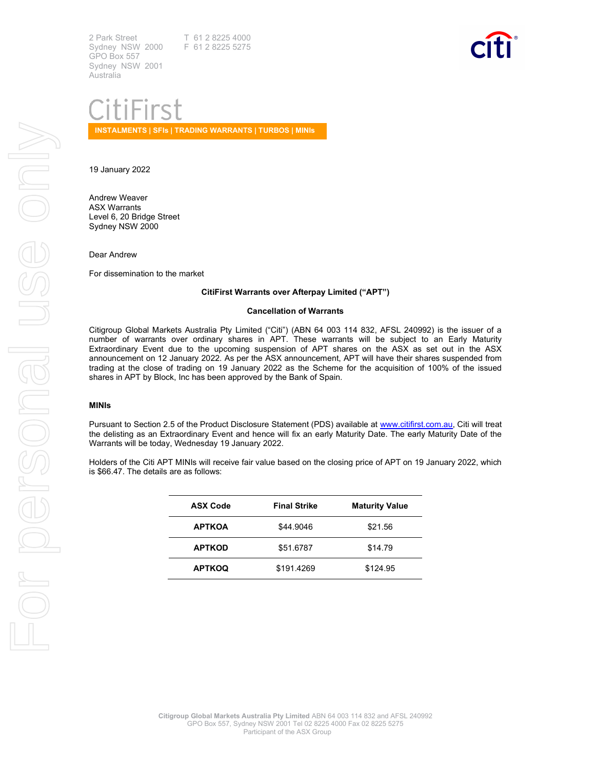2 Park Street Sydney NSW 2000 GPO Box 557 Sydney NSW 2001 Australia

 T 61 2 8225 4000 F 61 2 8225 5275



# CitiFirst

INSTALMENTS | SFIs | TRADING WARRANTS | TURBOS | MINIs

19 January 2022

Andrew Weaver ASX Warrants Level 6, 20 Bridge Street Sydney NSW 2000

Dear Andrew

For dissemination to the market

#### CitiFirst Warrants over Afterpay Limited ("APT")

#### Cancellation of Warrants

Citigroup Global Markets Australia Pty Limited ("Citi") (ABN 64 003 114 832, AFSL 240992) is the issuer of a number of warrants over ordinary shares in APT. These warrants will be subject to an Early Maturity Extraordinary Event due to the upcoming suspension of APT shares on the ASX as set out in the ASX announcement on 12 January 2022. As per the ASX announcement, APT will have their shares suspended from trading at the close of trading on 19 January 2022 as the Scheme for the acquisition of 100% of the issued shares in APT by Block, Inc has been approved by the Bank of Spain.

### MINIs

Pursuant to Section 2.5 of the Product Disclosure Statement (PDS) available at www.citifirst.com.au, Citi will treat the delisting as an Extraordinary Event and hence will fix an early Maturity Date. The early Maturity Date of the Warrants will be today, Wednesday 19 January 2022.

Holders of the Citi APT MINIs will receive fair value based on the closing price of APT on 19 January 2022, which is \$66.47. The details are as follows:

| <b>ASX Code</b> | <b>Final Strike</b> | <b>Maturity Value</b> |
|-----------------|---------------------|-----------------------|
| <b>APTKOA</b>   | \$44.9046           | \$21.56               |
| <b>APTKOD</b>   | \$51.6787           | \$14.79               |
| <b>APTKOQ</b>   | \$191.4269          | \$124.95              |